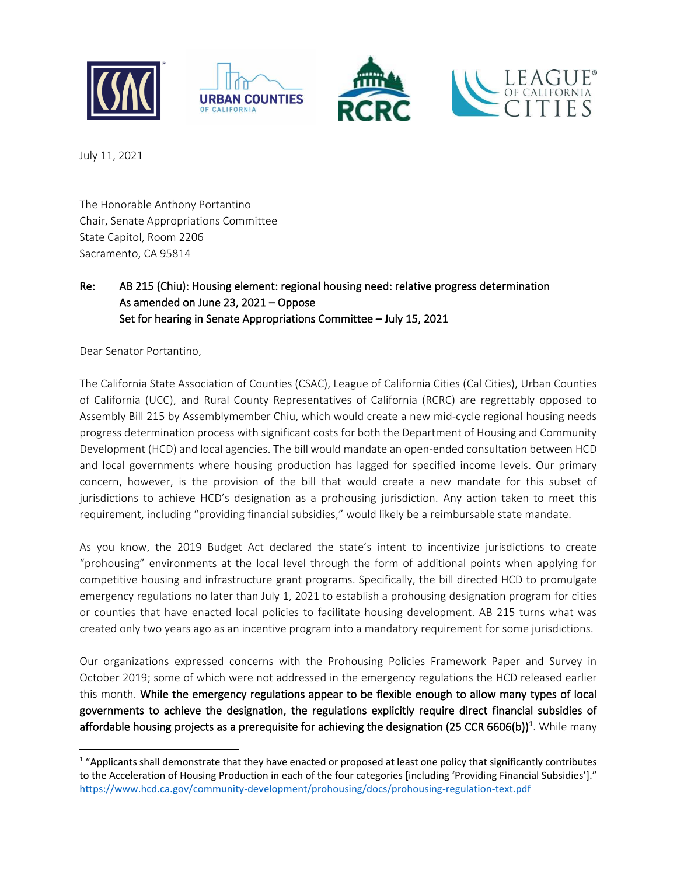

July 11, 2021

The Honorable Anthony Portantino Chair, Senate Appropriations Committee State Capitol, Room 2206 Sacramento, CA 95814

## Re: AB 215 (Chiu): Housing element: regional housing need: relative progress determination As amended on June 23, 2021 – Oppose Set for hearing in Senate Appropriations Committee – July 15, 2021

Dear Senator Portantino,

The California State Association of Counties (CSAC), League of California Cities (Cal Cities), Urban Counties of California (UCC), and Rural County Representatives of California (RCRC) are regrettably opposed to Assembly Bill 215 by Assemblymember Chiu, which would create a new mid-cycle regional housing needs progress determination process with significant costs for both the Department of Housing and Community Development (HCD) and local agencies. The bill would mandate an open-ended consultation between HCD and local governments where housing production has lagged for specified income levels. Our primary concern, however, is the provision of the bill that would create a new mandate for this subset of jurisdictions to achieve HCD's designation as a prohousing jurisdiction. Any action taken to meet this requirement, including "providing financial subsidies," would likely be a reimbursable state mandate.

As you know, the 2019 Budget Act declared the state's intent to incentivize jurisdictions to create "prohousing" environments at the local level through the form of additional points when applying for competitive housing and infrastructure grant programs. Specifically, the bill directed HCD to promulgate emergency regulations no later than July 1, 2021 to establish a prohousing designation program for cities or counties that have enacted local policies to facilitate housing development. AB 215 turns what was created only two years ago as an incentive program into a mandatory requirement for some jurisdictions.

Our organizations expressed concerns with the Prohousing Policies Framework Paper and Survey in October 2019; some of which were not addressed in the emergency regulations the HCD released earlier this month. While the emergency regulations appear to be flexible enough to allow many types of local governments to achieve the designation, the regulations explicitly require direct financial subsidies of affordable housing projects as a prerequisite for achieving the designation (25 CCR 6606(b))<sup>1</sup>. While many

 $1$  "Applicants shall demonstrate that they have enacted or proposed at least one policy that significantly contributes to the Acceleration of Housing Production in each of the four categories [including 'Providing Financial Subsidies']." <https://www.hcd.ca.gov/community-development/prohousing/docs/prohousing-regulation-text.pdf>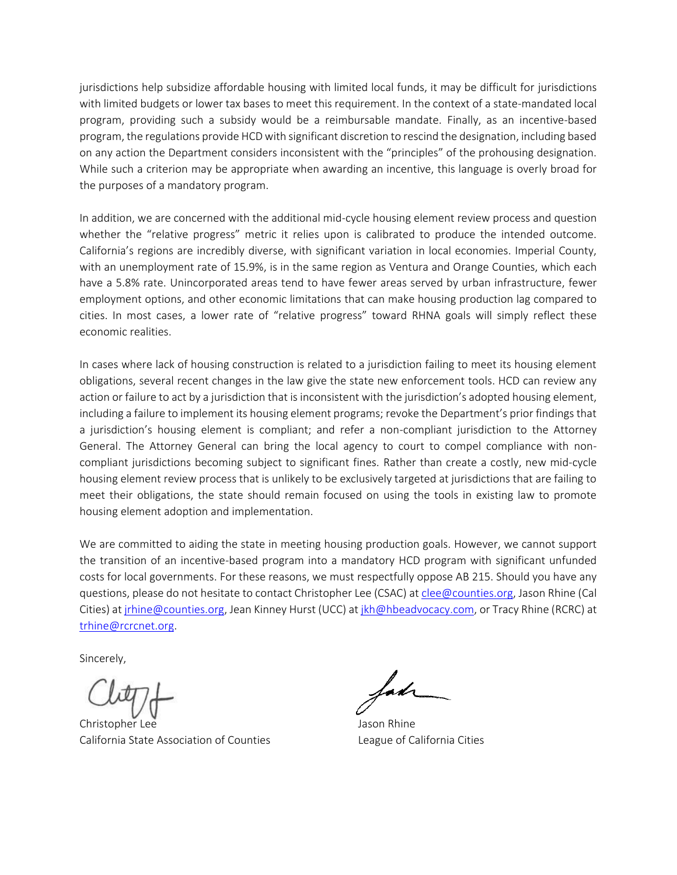jurisdictions help subsidize affordable housing with limited local funds, it may be difficult for jurisdictions with limited budgets or lower tax bases to meet this requirement. In the context of a state-mandated local program, providing such a subsidy would be a reimbursable mandate. Finally, as an incentive-based program, the regulations provide HCD with significant discretion to rescind the designation, including based on any action the Department considers inconsistent with the "principles" of the prohousing designation. While such a criterion may be appropriate when awarding an incentive, this language is overly broad for the purposes of a mandatory program.

In addition, we are concerned with the additional mid-cycle housing element review process and question whether the "relative progress" metric it relies upon is calibrated to produce the intended outcome. California's regions are incredibly diverse, with significant variation in local economies. Imperial County, with an unemployment rate of 15.9%, is in the same region as Ventura and Orange Counties, which each have a 5.8% rate. Unincorporated areas tend to have fewer areas served by urban infrastructure, fewer employment options, and other economic limitations that can make housing production lag compared to cities. In most cases, a lower rate of "relative progress" toward RHNA goals will simply reflect these economic realities.

In cases where lack of housing construction is related to a jurisdiction failing to meet its housing element obligations, several recent changes in the law give the state new enforcement tools. HCD can review any action or failure to act by a jurisdiction that is inconsistent with the jurisdiction's adopted housing element, including a failure to implement its housing element programs; revoke the Department's prior findings that a jurisdiction's housing element is compliant; and refer a non-compliant jurisdiction to the Attorney General. The Attorney General can bring the local agency to court to compel compliance with noncompliant jurisdictions becoming subject to significant fines. Rather than create a costly, new mid-cycle housing element review process that is unlikely to be exclusively targeted at jurisdictions that are failing to meet their obligations, the state should remain focused on using the tools in existing law to promote housing element adoption and implementation.

We are committed to aiding the state in meeting housing production goals. However, we cannot support the transition of an incentive-based program into a mandatory HCD program with significant unfunded costs for local governments. For these reasons, we must respectfully oppose AB 215. Should you have any questions, please do not hesitate to contact Christopher Lee (CSAC) a[t clee@counties.org,](mailto:clee@counties.org) Jason Rhine (Cal Cities) a[t jrhine@counties.org,](mailto:jrhine@counties.org) Jean Kinney Hurst (UCC) a[t jkh@hbeadvocacy.com,](mailto:jkh@hbeadvocacy.com) or Tracy Rhine (RCRC) at [trhine@rcrcnet.org.](mailto:trhine@rcrcnet.org)

Sincerely,

Christopher Lee Jason Rhine California State Association of Counties League of California Cities